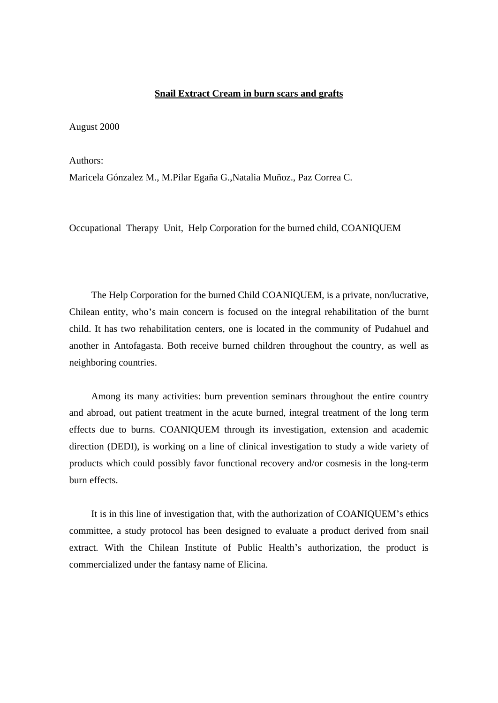#### **Snail Extract Cream in burn scars and grafts**

August 2000

Authors:  $\overline{\phantom{a}}$ 

Maricela Gónzalez M., M.Pilar Egaña G.,Natalia Muñoz., Paz Correa C.

Occupational Therapy Unit, Help Corporation for the burned child, COANIQUEM

The Help Corporation for the burned Child COANIQUEM, is a private, non/lucrative, Chilean entity, who's main concern is focused on the integral rehabilitation of the burnt child. It has two rehabilitation centers, one is located in the community of Pudahuel and another in Antofagasta. Both receive burned children throughout the country, as well as neighboring countries.

Among its many activities: burn prevention seminars throughout the entire country and abroad, out patient treatment in the acute burned, integral treatment of the long term effects due to burns. COANIQUEM through its investigation, extension and academic direction (DEDI), is working on a line of clinical investigation to study a wide variety of products which could possibly favor functional recovery and/or cosmesis in the long-term burn effects.

It is in this line of investigation that, with the authorization of COANIQUEM's ethics committee, a study protocol has been designed to evaluate a product derived from snail extract. With the Chilean Institute of Public Health's authorization, the product is commercialized under the fantasy name of Elicina.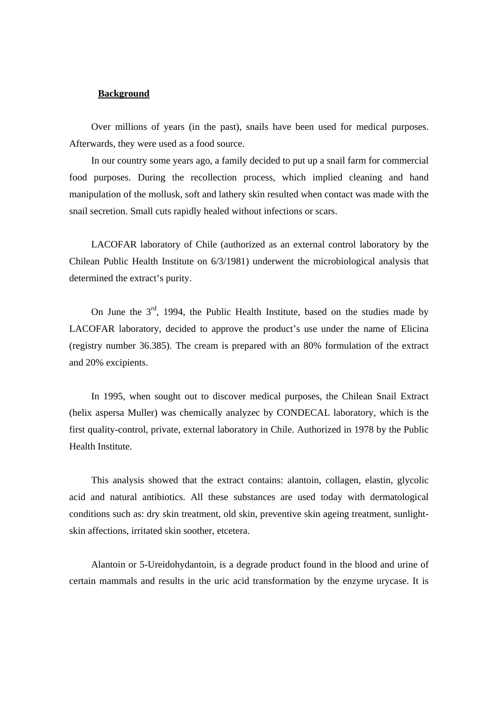#### **Background**

Over millions of years (in the past), snails have been used for medical purposes. Afterwards, they were used as a food source.

In our country some years ago, a family decided to put up a snail farm for commercial food purposes. During the recollection process, which implied cleaning and hand manipulation of the mollusk, soft and lathery skin resulted when contact was made with the snail secretion. Small cuts rapidly healed without infections or scars.

LACOFAR laboratory of Chile (authorized as an external control laboratory by the Chilean Public Health Institute on 6/3/1981) underwent the microbiological analysis that determined the extract's purity.

On June the  $3<sup>rd</sup>$ , 1994, the Public Health Institute, based on the studies made by LACOFAR laboratory, decided to approve the product's use under the name of Elicina (registry number 36.385). The cream is prepared with an 80% formulation of the extract and 20% excipients.

In 1995, when sought out to discover medical purposes, the Chilean Snail Extract (helix aspersa Muller) was chemically analyzec by CONDECAL laboratory, which is the first quality-control, private, external laboratory in Chile. Authorized in 1978 by the Public Health Institute.

This analysis showed that the extract contains: alantoin, collagen, elastin, glycolic acid and natural antibiotics. All these substances are used today with dermatological conditions such as: dry skin treatment, old skin, preventive skin ageing treatment, sunlight skin affections, irritated skin soother, etcetera.

Alantoin or 5-Ureidohydantoin, is a degrade product found in the blood and urine of certain mammals and results in the uric acid transformation by the enzyme urycase. It is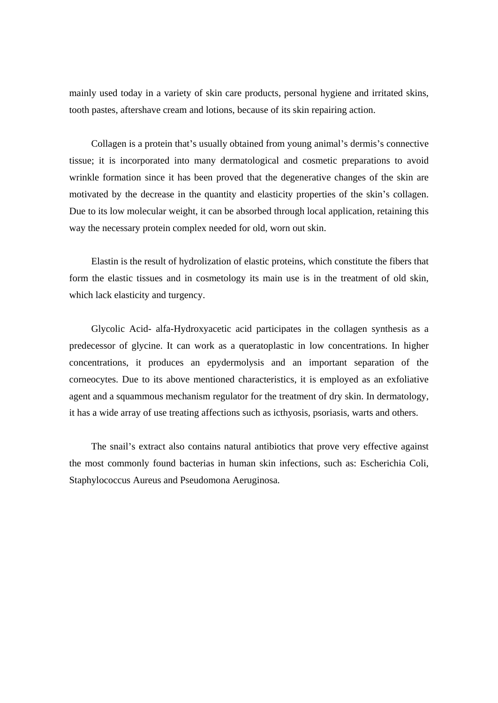mainly used today in a variety of skin care products, personal hygiene and irritated skins, tooth pastes, aftershave cream and lotions, because of its skin repairing action.

Collagen is a protein that's usually obtained from young animal's dermis's connective tissue; it is incorporated into many dermatological and cosmetic preparations to avoid wrinkle formation since it has been proved that the degenerative changes of the skin are motivated by the decrease in the quantity and elasticity properties of the skin's collagen. Due to its low molecular weight, it can be absorbed through local application, retaining this way the necessary protein complex needed for old, worn out skin.

Elastin is the result of hydrolization of elastic proteins, which constitute the fibers that form the elastic tissues and in cosmetology its main use is in the treatment of old skin, which lack elasticity and turgency.

Glycolic Acid- alfa-Hydroxyacetic acid participates in the collagen synthesis as a predecessor of glycine. It can work as a queratoplastic in low concentrations. In higher concentrations, it produces an epydermolysis and an important separation of the corneocytes. Due to its above mentioned characteristics, it is employed as an exfoliative agent and a squammous mechanism regulator for the treatment of dry skin. In dermatology, it has a wide array of use treating affections such as icthyosis, psoriasis, warts and others.

The snail's extract also contains natural antibiotics that prove very effective against the most commonly found bacterias in human skin infections, such as: Escherichia Coli, Staphylococcus Aureus and Pseudomona Aeruginosa.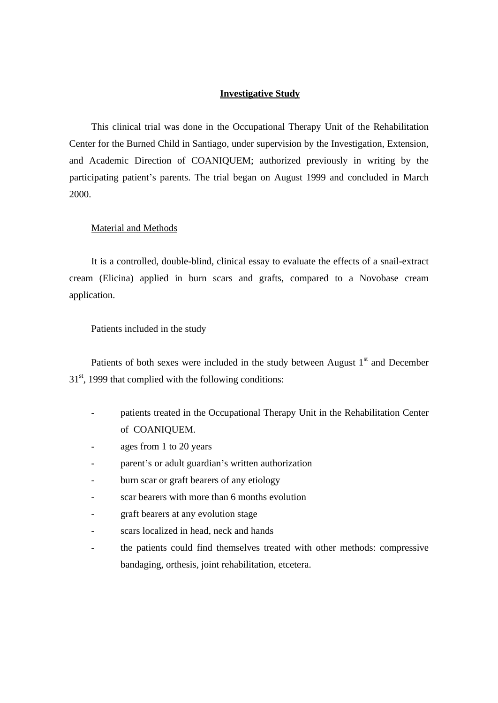### **Investigative Study**

This clinical trial was done in the Occupational Therapy Unit of the Rehabilitation Center for the Burned Child in Santiago, under supervision by the Investigation, Extension, and Academic Direction of COANIQUEM; authorized previously in writing by the participating patient's parents. The trial began on August 1999 and concluded in March 2000.

### Material and Methods

It is a controlled, double-blind, clinical essay to evaluate the effects of a snail-extract cream (Elicina) applied in burn scars and grafts, compared to a Novobase cream application.

### Patients included in the study

Patients of both sexes were included in the study between August 1<sup>st</sup> and December st and December  $31<sup>st</sup>$ , 1999 that complied with the following conditions:

- patients treated in the Occupational Therapy Unit in the Rehabilitation Center of COANIQUEM.
- ages from 1 to 20 years
- parent's or adult guardian's written authorization
- 
- burn scar or graft bearers of any etiology<br>
scar bearers with more than 6 months evolution
- graft bearers at any evolution stage
- scars localized in head, neck and hands
- the patients could find themselves treated with other methods: compressive bandaging, orthesis, joint rehabilitation, etcetera.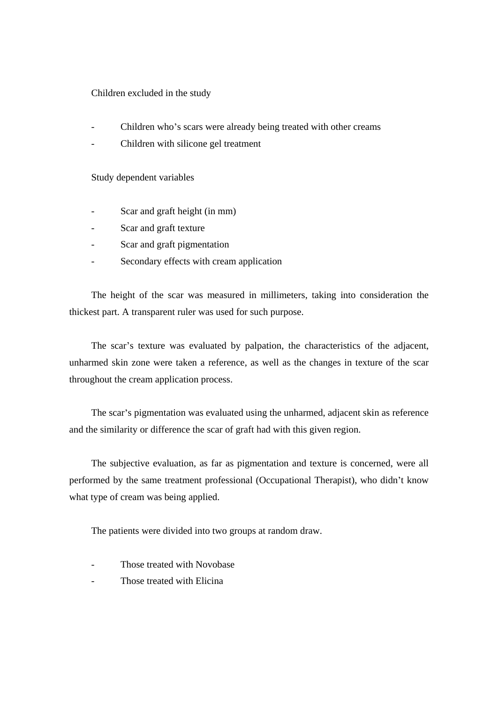### Children excluded in the study

- Children who's scars were already being treated with other creams
- Children with silicone gel treatment

Study dependent variables

- Scar and graft height (in mm)
- Scar and graft texture
- Scar and graft pigmentation
- Secondary effects with cream application

The height of the scar was measured in millimeters, taking into consideration the thickest part. A transparent ruler was used for such purpose.

The scar's texture was evaluated by palpation, the characteristics of the adjacent, unharmed skin zone were taken a reference, as well as the changes in texture of the scar throughout the cream application process.

The scar's pigmentation was evaluated using the unharmed, adjacent skin as reference and the similarity or difference the scar of graft had with this given region.

The subjective evaluation, as far as pigmentation and texture is concerned, were all performed by the same treatment professional (Occupational Therapist), who didn't know what type of cream was being applied.

The patients were divided into two groups at random draw.

- Those treated with Novobase
- Those treated with Elicina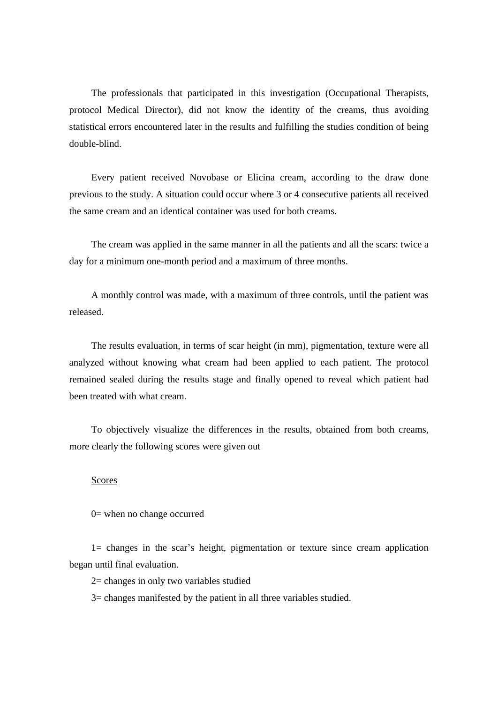The professionals that participated in this investigation (Occupational Therapists, protocol Medical Director), did not know the identity of the creams, thus avoiding statistical errors encountered later in the results and fulfilling the studies condition of being double-blind.

Every patient received Novobase or Elicina cream, according to the draw done previous to the study. A situation could occur where 3 or 4 consecutive patients all received the same cream and an identical container was used for both creams.

The cream was applied in the same manner in all the patients and all the scars: twice a day for a minimum one-month period and a maximum of three months.

A monthly control was made, with a maximum of three controls, until the patient was released.

The results evaluation, in terms of scar height (in mm), pigmentation, texture were all analyzed without knowing what cream had been applied to each patient. The protocol remained sealed during the results stage and finally opened to reveal which patient had been treated with what cream.

To objectively visualize the differences in the results, obtained from both creams, more clearly the following scores were given out

#### Scores **Scores**

0= when no change occurred

1= changes in the scar s height, pigmentation or texture since cream application began until final evaluation.

2= changes in only two variables studied

3= changes manifested by the patient in all three variables studied.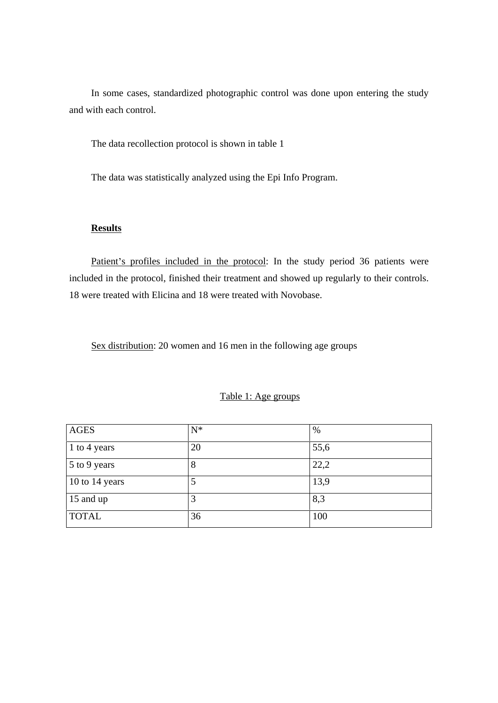In some cases, standardized photographic control was done upon entering the study and with each control.

The data recollection protocol is shown in table 1

The data was statistically analyzed using the Epi Info Program.

### **Results**

Patient's profiles included in the protocol: In the study period 36 patients were included in the protocol, finished their treatment and showed up regularly to their controls. 18 were treated with Elicina and 18 were treated with Novobase.

Sex distribution: 20 women and 16 men in the following age groups

#### Table 1: Age groups

| AGES           |                |
|----------------|----------------|
| 1 to 4 years   | $\blacksquare$ |
| 5 to 9 years   |                |
| 10 to 14 years |                |
| 15 and up      |                |
| <b>TOTAL</b>   |                |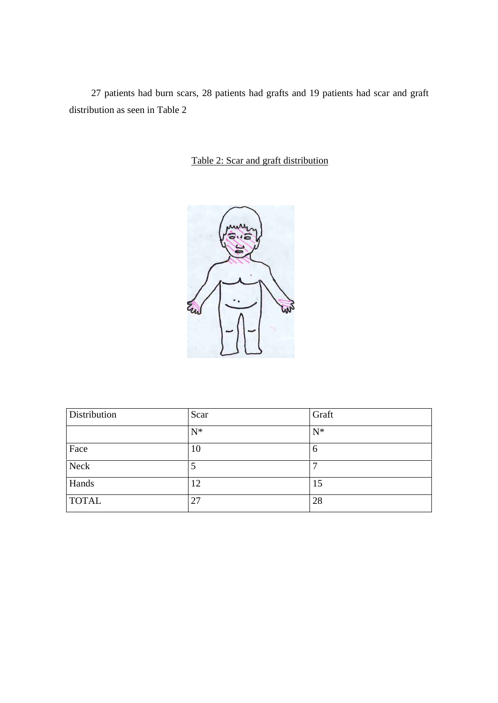27 patients had burn scars, 28 patients had grafts and 19 patients had scar and graft distribution as seen in Table 2

Table 2: Scar and graft distribution



| Distribution | Scar | Graft |
|--------------|------|-------|
|              |      |       |
| Face         |      |       |
| Neck         |      |       |
| Hands        |      |       |
| <b>TOTAL</b> |      |       |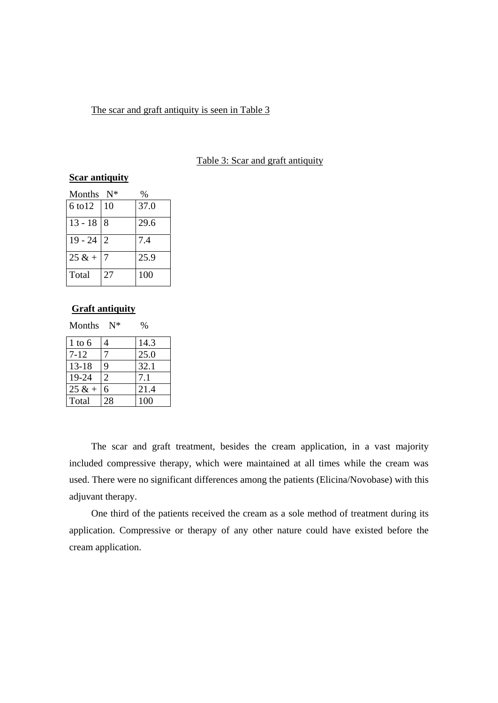### The scar and graft antiquity is seen in Table 3

Table 3: Scar and graft antiquity

# **Scar antiquity**

| Months N*    |    | $\%$ |
|--------------|----|------|
| 6 to 12   10 |    | 37.0 |
| $13 - 188$   |    | 29.6 |
| $19 - 24$ 2  |    | 7.4  |
| $25 & +$     |    | 25.9 |
| Total        | 27 | 100  |

#### **Graft antiquity**

Months  $N^*$  %

| $1 \text{ to } 6$ |    | 14.3                 |
|-------------------|----|----------------------|
| $7 - 12$          |    | 25.0                 |
| $13-18$           |    | 32.1                 |
| 19-24             |    | $\sim$ 1<br>$\cdots$ |
| $25 & + 6$        |    | $-24$<br>⊢ 4 1 . –   |
| Total             | 28 | 100                  |

The scar and graft treatment, besides the cream application, in a vast majority included compressive therapy, which were maintained at all times while the cream was used. There were no significant differences among the patients (Elicina/Novobase) with this adjuvant therapy.

One third of the patients received the cream as a sole method of treatment during its application. Compressive or therapy of any other nature could have existed before the cream application.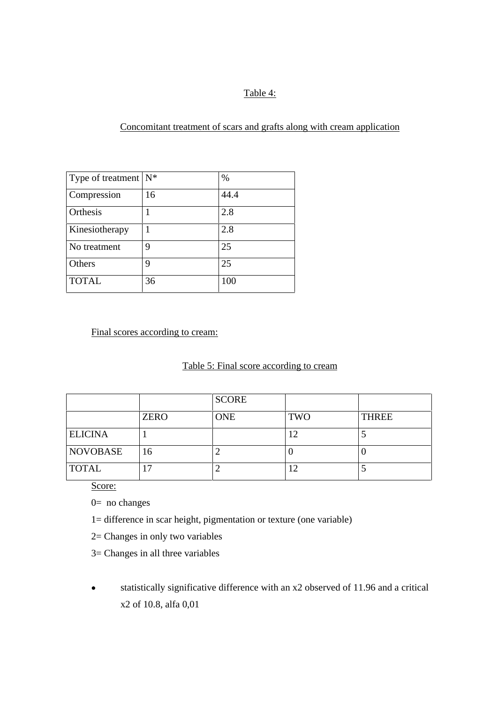# Table 4: The state of the state of the state of the state of the state of the state of the state of the state of the state of the state of the state of the state of the state of the state of the state of the state of the s

Concomitant treatment of scars and grafts along with cream application

| Type of treatment $N^*$ |        |      |
|-------------------------|--------|------|
|                         |        |      |
| Compression             | $\sim$ | 44.4 |
|                         |        |      |
| Orthesis                |        |      |
|                         |        |      |
| Kinesiotherapy          |        |      |
| No treatment            |        |      |
|                         |        |      |
| Others                  |        |      |
|                         |        |      |
| <b>TOTAL</b>            |        | 100  |
|                         |        |      |

### Final scores according to cream:

### Table 5: Final score according to cream

|                |             | SCORE      |            |              |
|----------------|-------------|------------|------------|--------------|
|                | <b>ZERO</b> | <b>ONE</b> | <b>TWO</b> | <b>THREE</b> |
| <b>ELICINA</b> |             |            |            |              |
| NOVOBASE       |             |            |            |              |
| <b>TOTAL</b>   |             |            |            |              |

Score: The second second second second second second second second second second second second second second second second second second second second second second second second second second second second second second s

0= no changes

- 1= difference in scar height, pigmentation or texture (one variable)
- 2= Changes in only two variables
- 3= Changes in all three variables
- statistically significative difference with an x2 observed of 11.96 and a critical  $\bullet$ x2 of 10.8, alfa 0,01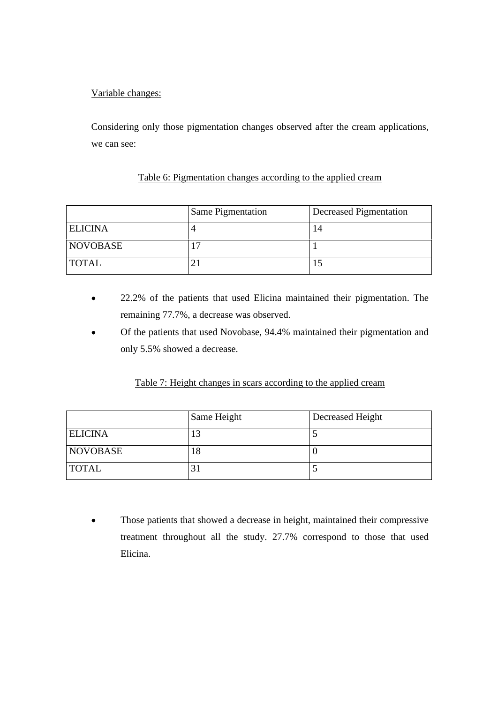# Variable changes:

Considering only those pigmentation changes observed after the cream applications, we can see:

## Table 6: Pigmentation changes according to the applied cream

|                | Same Pigmentation | Decreased Pigmentation |
|----------------|-------------------|------------------------|
| <b>ELICINA</b> |                   |                        |
| NOVOBASE       |                   |                        |
| <b>TOTAL</b>   |                   |                        |

- 22.2% of the patients that used Elicina maintained their pigmentation. The  $\bullet$ remaining 77.7%, a decrease was observed.
- Of the patients that used Novobase, 94.4% maintained their pigmentation and only 5.5% showed a decrease.

## Table 7: Height changes in scars according to the applied cream

|                | Same Height | Decreased Height |
|----------------|-------------|------------------|
| <b>ELICINA</b> |             |                  |
| NOVOBASE       |             |                  |
| <b>TOTAL</b>   |             |                  |

Those patients that showed a decrease in height, maintained their compressive treatment throughout all the study. 27.7% correspond to those that used Elicina.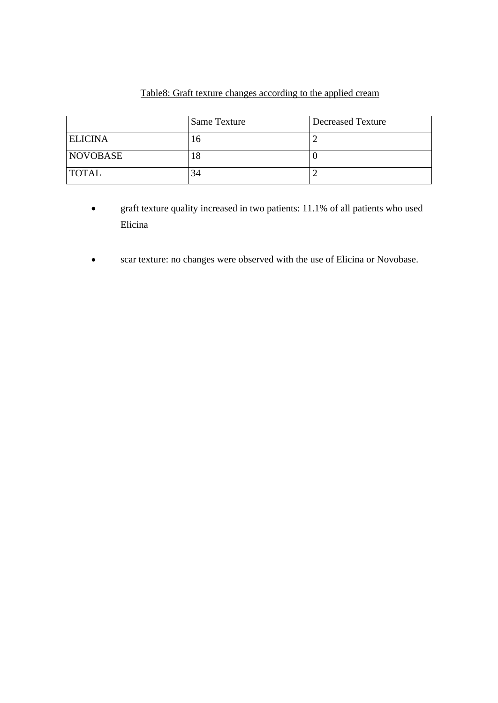# Table8: Graft texture changes according to the applied cream

|                | Same Texture | Decreased Texture |
|----------------|--------------|-------------------|
| <b>ELICINA</b> |              |                   |
| NOVOBASE       |              |                   |
| <b>TOTAL</b>   |              |                   |

- graft texture quality increased in two patients: 11.1% of all patients who used  $\bullet$ Elicina
- scar texture: no changes were observed with the use of Elicina or Novobase. $\bullet$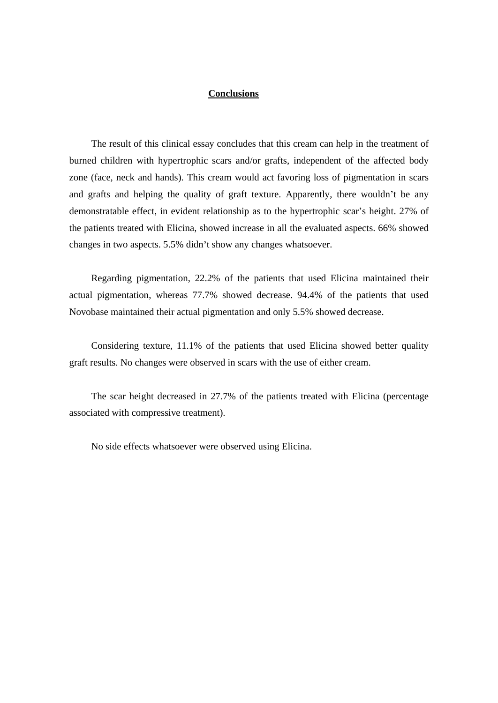#### **Conclusions**

The result of this clinical essay concludes that this cream can help in the treatment of burned children with hypertrophic scars and/or grafts, independent of the affected body zone (face, neck and hands). This cream would act favoring loss of pigmentation in scars and grafts and helping the quality of graft texture. Apparently, there wouldn't be any demonstratable effect, in evident relationship as to the hypertrophic scar's height. 27% of the patients treated with Elicina, showed increase in all the evaluated aspects. 66% showed changes in two aspects. 5.5% didn't show any changes whatsoever.

Regarding pigmentation, 22.2% of the patients that used Elicina maintained their actual pigmentation, whereas 77.7% showed decrease. 94.4% of the patients that used Novobase maintained their actual pigmentation and only 5.5% showed decrease.

Considering texture, 11.1% of the patients that used Elicina showed better quality graft results. No changes were observed in scars with the use of either cream.

The scar height decreased in 27.7% of the patients treated with Elicina (percentage associated with compressive treatment).

No side effects whatsoever were observed using Elicina.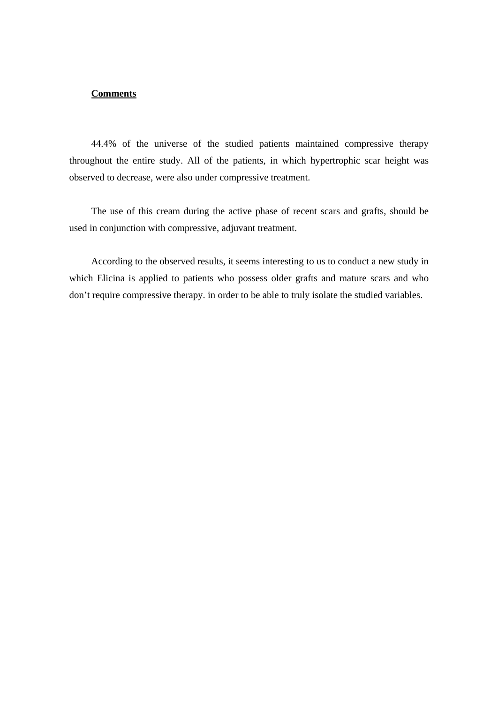#### **Comments**

44.4% of the universe of the studied patients maintained compressive therapy throughout the entire study. All of the patients, in which hypertrophic scar height was observed to decrease, were also under compressive treatment.

The use of this cream during the active phase of recent scars and grafts, should be used in conjunction with compressive, adjuvant treatment.

According to the observed results, it seems interesting to us to conduct a new study in which Elicina is applied to patients who possess older grafts and mature scars and who don't require compressive therapy. in order to be able to truly isolate the studied variables.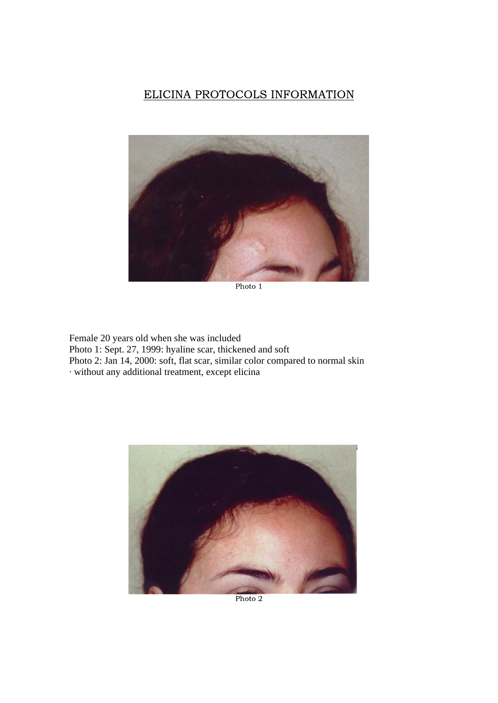# ELICINA PROTOCOLS INFORMATION



Photo 1

Female 20 years old when she was included Photo 1: Sept. 27, 1999: hyaline scar, thickened and soft Photo 2: Jan 14, 2000: soft, flat scar, similar color compared to normal skin · without any additional treatment, except elicina



Photo 2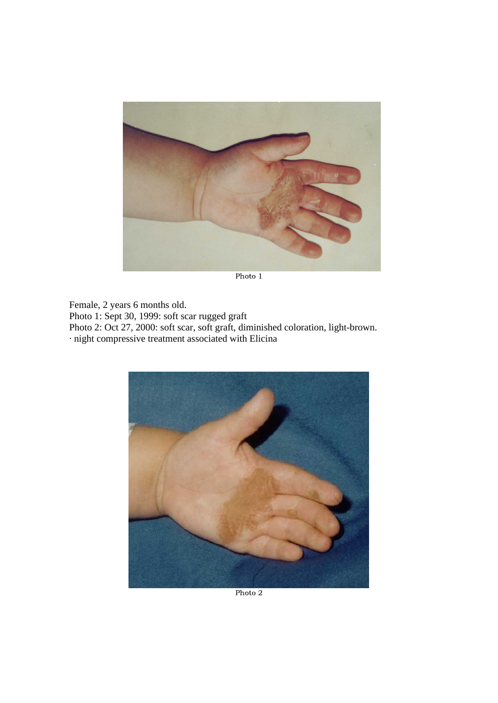

Photo 1

Female, 2 years 6 months old. Photo 1: Sept 30, 1999: soft scar rugged graft Photo 2: Oct 27, 2000: soft scar, soft graft, diminished coloration, light-brown. · night compressive treatment associated with Elicina



Photo 2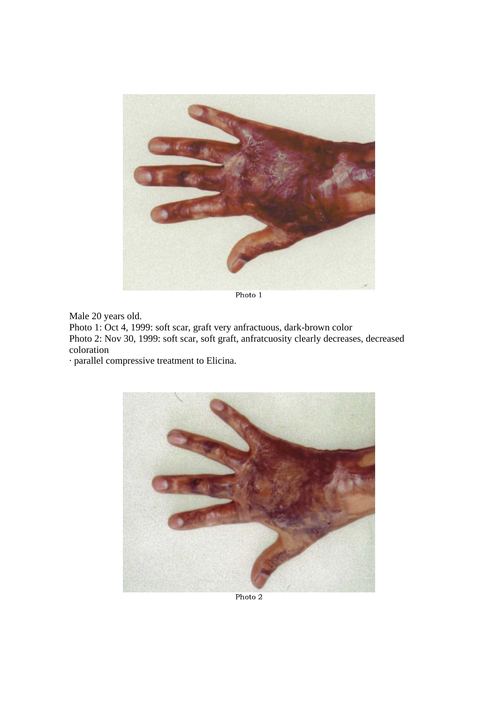

Photo 1

Male 20 years old.

Photo 1: Oct 4, 1999: soft scar, graft very anfractuous, dark-brown color Photo 2: Nov 30, 1999: soft scar, soft graft, anfratcuosity clearly decreases, decreased coloration

· parallel compressive treatment to Elicina.



Photo 2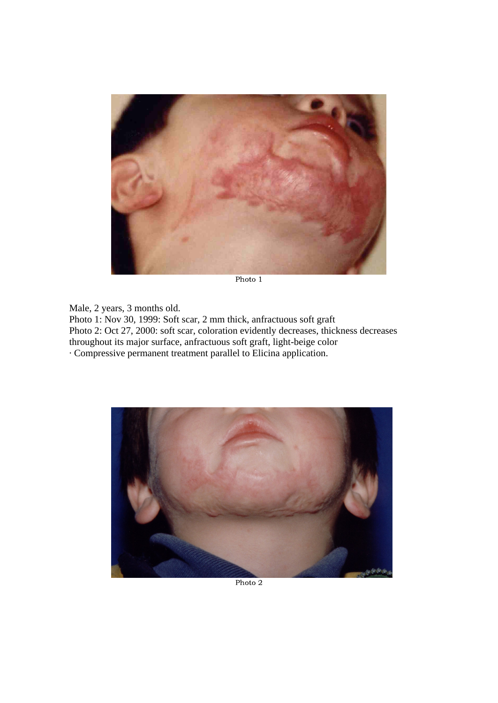

Photo 1

Male, 2 years, 3 months old. Photo 1: Nov 30, 1999: Soft scar, 2 mm thick, anfractuous soft graft Photo 2: Oct 27, 2000: soft scar, coloration evidently decreases, thickness decreases throughout its major surface, anfractuous soft graft, light-beige color · Compressive permanent treatment parallel to Elicina application.



Photo 2